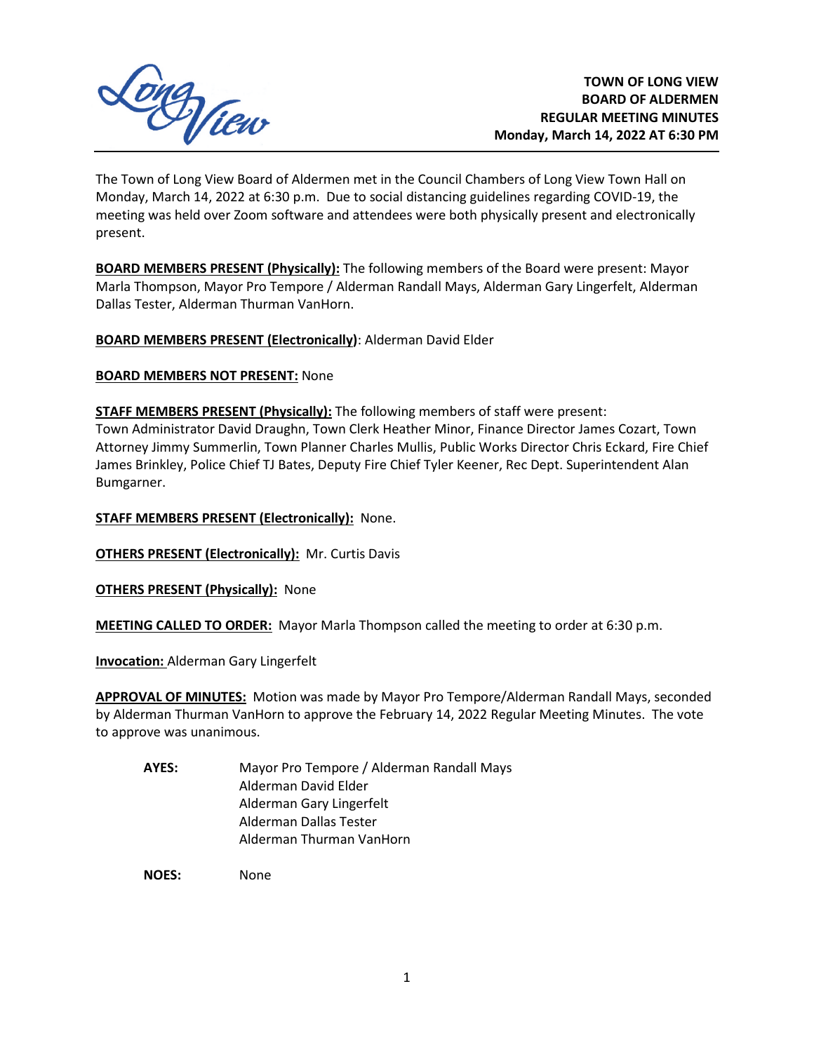

The Town of Long View Board of Aldermen met in the Council Chambers of Long View Town Hall on Monday, March 14, 2022 at 6:30 p.m. Due to social distancing guidelines regarding COVID-19, the meeting was held over Zoom software and attendees were both physically present and electronically present.

**BOARD MEMBERS PRESENT (Physically):** The following members of the Board were present: Mayor Marla Thompson, Mayor Pro Tempore / Alderman Randall Mays, Alderman Gary Lingerfelt, Alderman Dallas Tester, Alderman Thurman VanHorn.

**BOARD MEMBERS PRESENT (Electronically)**: Alderman David Elder

**BOARD MEMBERS NOT PRESENT:** None

**STAFF MEMBERS PRESENT (Physically):** The following members of staff were present: Town Administrator David Draughn, Town Clerk Heather Minor, Finance Director James Cozart, Town Attorney Jimmy Summerlin, Town Planner Charles Mullis, Public Works Director Chris Eckard, Fire Chief James Brinkley, Police Chief TJ Bates, Deputy Fire Chief Tyler Keener, Rec Dept. Superintendent Alan Bumgarner.

**STAFF MEMBERS PRESENT (Electronically):** None.

**OTHERS PRESENT (Electronically):** Mr. Curtis Davis

**OTHERS PRESENT (Physically):** None

**MEETING CALLED TO ORDER:** Mayor Marla Thompson called the meeting to order at 6:30 p.m.

**Invocation:** Alderman Gary Lingerfelt

**APPROVAL OF MINUTES:** Motion was made by Mayor Pro Tempore/Alderman Randall Mays, seconded by Alderman Thurman VanHorn to approve the February 14, 2022 Regular Meeting Minutes. The vote to approve was unanimous.

**AYES:** Mayor Pro Tempore / Alderman Randall Mays Alderman David Elder Alderman Gary Lingerfelt Alderman Dallas Tester Alderman Thurman VanHorn

**NOES:** None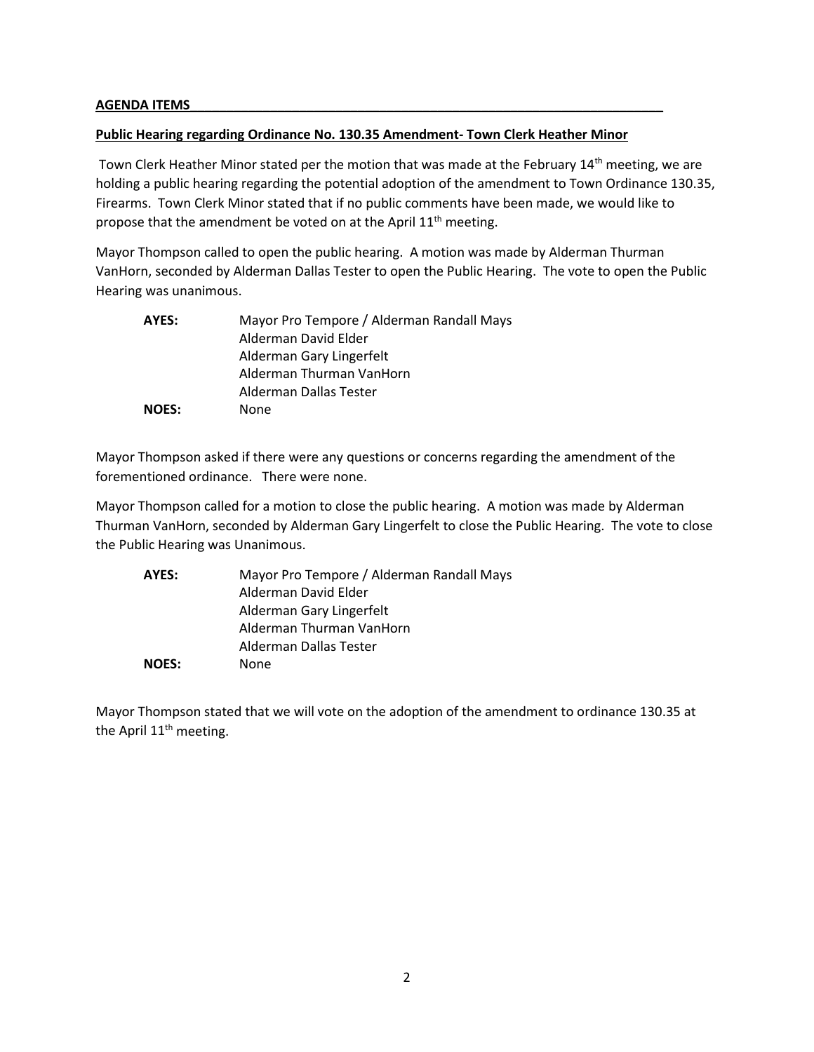#### **AGENDA ITEMS\_\_\_\_\_\_\_\_\_\_\_\_\_\_\_\_\_\_\_\_\_\_\_\_\_\_\_\_\_\_\_\_\_\_\_\_\_\_\_\_\_\_\_\_\_\_\_\_\_\_\_\_\_\_\_\_\_\_\_\_\_\_\_\_\_**

#### **Public Hearing regarding Ordinance No. 130.35 Amendment- Town Clerk Heather Minor**

Town Clerk Heather Minor stated per the motion that was made at the February 14<sup>th</sup> meeting, we are holding a public hearing regarding the potential adoption of the amendment to Town Ordinance 130.35, Firearms. Town Clerk Minor stated that if no public comments have been made, we would like to propose that the amendment be voted on at the April  $11<sup>th</sup>$  meeting.

Mayor Thompson called to open the public hearing. A motion was made by Alderman Thurman VanHorn, seconded by Alderman Dallas Tester to open the Public Hearing. The vote to open the Public Hearing was unanimous.

| AYES:        | Mayor Pro Tempore / Alderman Randall Mays |
|--------------|-------------------------------------------|
|              | Alderman David Elder                      |
|              | Alderman Gary Lingerfelt                  |
|              | Alderman Thurman VanHorn                  |
|              | Alderman Dallas Tester                    |
| <b>NOES:</b> | None                                      |

Mayor Thompson asked if there were any questions or concerns regarding the amendment of the forementioned ordinance. There were none.

Mayor Thompson called for a motion to close the public hearing. A motion was made by Alderman Thurman VanHorn, seconded by Alderman Gary Lingerfelt to close the Public Hearing. The vote to close the Public Hearing was Unanimous.

| AYES:        | Mayor Pro Tempore / Alderman Randall Mays |
|--------------|-------------------------------------------|
|              | Alderman David Elder                      |
|              | Alderman Gary Lingerfelt                  |
|              | Alderman Thurman VanHorn                  |
|              | Alderman Dallas Tester                    |
| <b>NOES:</b> | None                                      |

Mayor Thompson stated that we will vote on the adoption of the amendment to ordinance 130.35 at the April 11<sup>th</sup> meeting.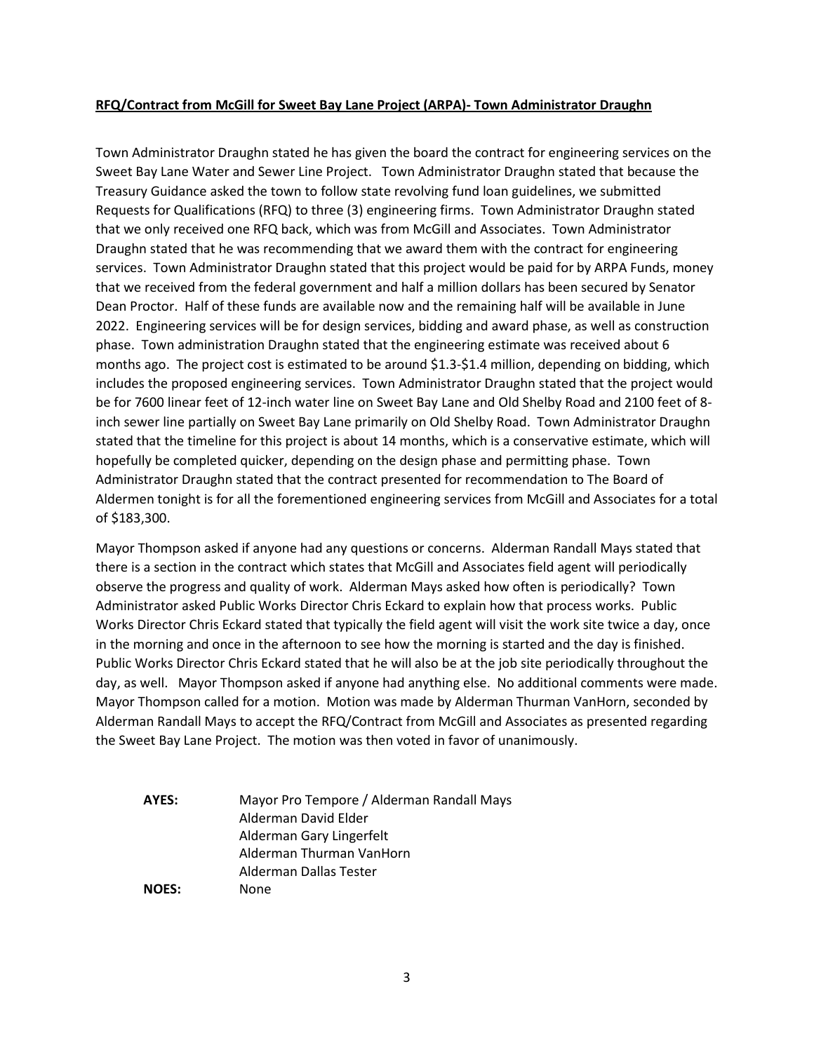#### **RFQ/Contract from McGill for Sweet Bay Lane Project (ARPA)- Town Administrator Draughn**

Town Administrator Draughn stated he has given the board the contract for engineering services on the Sweet Bay Lane Water and Sewer Line Project. Town Administrator Draughn stated that because the Treasury Guidance asked the town to follow state revolving fund loan guidelines, we submitted Requests for Qualifications (RFQ) to three (3) engineering firms. Town Administrator Draughn stated that we only received one RFQ back, which was from McGill and Associates. Town Administrator Draughn stated that he was recommending that we award them with the contract for engineering services. Town Administrator Draughn stated that this project would be paid for by ARPA Funds, money that we received from the federal government and half a million dollars has been secured by Senator Dean Proctor. Half of these funds are available now and the remaining half will be available in June 2022. Engineering services will be for design services, bidding and award phase, as well as construction phase. Town administration Draughn stated that the engineering estimate was received about 6 months ago. The project cost is estimated to be around \$1.3-\$1.4 million, depending on bidding, which includes the proposed engineering services. Town Administrator Draughn stated that the project would be for 7600 linear feet of 12-inch water line on Sweet Bay Lane and Old Shelby Road and 2100 feet of 8 inch sewer line partially on Sweet Bay Lane primarily on Old Shelby Road. Town Administrator Draughn stated that the timeline for this project is about 14 months, which is a conservative estimate, which will hopefully be completed quicker, depending on the design phase and permitting phase. Town Administrator Draughn stated that the contract presented for recommendation to The Board of Aldermen tonight is for all the forementioned engineering services from McGill and Associates for a total of \$183,300.

Mayor Thompson asked if anyone had any questions or concerns. Alderman Randall Mays stated that there is a section in the contract which states that McGill and Associates field agent will periodically observe the progress and quality of work. Alderman Mays asked how often is periodically? Town Administrator asked Public Works Director Chris Eckard to explain how that process works. Public Works Director Chris Eckard stated that typically the field agent will visit the work site twice a day, once in the morning and once in the afternoon to see how the morning is started and the day is finished. Public Works Director Chris Eckard stated that he will also be at the job site periodically throughout the day, as well. Mayor Thompson asked if anyone had anything else. No additional comments were made. Mayor Thompson called for a motion. Motion was made by Alderman Thurman VanHorn, seconded by Alderman Randall Mays to accept the RFQ/Contract from McGill and Associates as presented regarding the Sweet Bay Lane Project. The motion was then voted in favor of unanimously.

**AYES:** Mayor Pro Tempore / Alderman Randall Mays Alderman David Elder Alderman Gary Lingerfelt Alderman Thurman VanHorn Alderman Dallas Tester **NOES:** None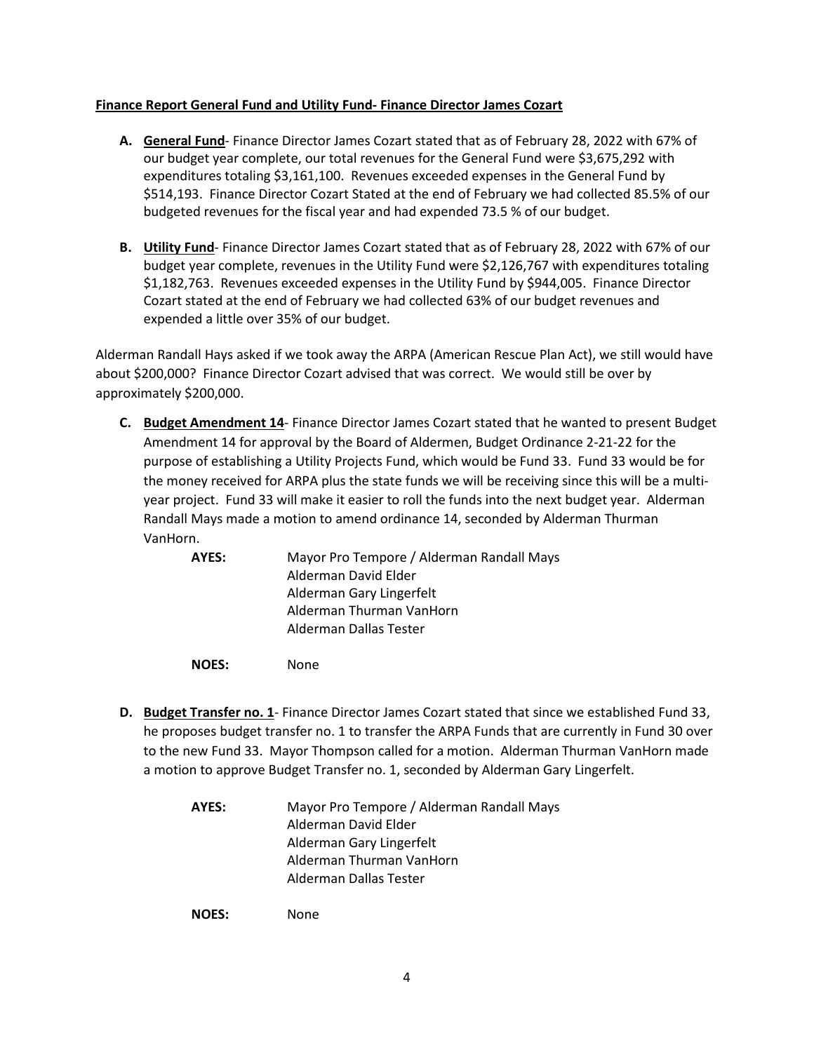### **Finance Report General Fund and Utility Fund- Finance Director James Cozart**

- **A. General Fund** Finance Director James Cozart stated that as of February 28, 2022 with 67% of our budget year complete, our total revenues for the General Fund were \$3,675,292 with expenditures totaling \$3,161,100. Revenues exceeded expenses in the General Fund by \$514,193. Finance Director Cozart Stated at the end of February we had collected 85.5% of our budgeted revenues for the fiscal year and had expended 73.5 % of our budget.
- **B. Utility Fund** Finance Director James Cozart stated that as of February 28, 2022 with 67% of our budget year complete, revenues in the Utility Fund were \$2,126,767 with expenditures totaling \$1,182,763. Revenues exceeded expenses in the Utility Fund by \$944,005. Finance Director Cozart stated at the end of February we had collected 63% of our budget revenues and expended a little over 35% of our budget.

Alderman Randall Hays asked if we took away the ARPA (American Rescue Plan Act), we still would have about \$200,000? Finance Director Cozart advised that was correct. We would still be over by approximately \$200,000.

- **C. Budget Amendment 14** Finance Director James Cozart stated that he wanted to present Budget Amendment 14 for approval by the Board of Aldermen, Budget Ordinance 2-21-22 for the purpose of establishing a Utility Projects Fund, which would be Fund 33. Fund 33 would be for the money received for ARPA plus the state funds we will be receiving since this will be a multiyear project. Fund 33 will make it easier to roll the funds into the next budget year. Alderman Randall Mays made a motion to amend ordinance 14, seconded by Alderman Thurman VanHorn.
	- **AYES:** Mayor Pro Tempore / Alderman Randall Mays Alderman David Elder Alderman Gary Lingerfelt Alderman Thurman VanHorn Alderman Dallas Tester

**NOES:** None

- **D. Budget Transfer no. 1** Finance Director James Cozart stated that since we established Fund 33, he proposes budget transfer no. 1 to transfer the ARPA Funds that are currently in Fund 30 over to the new Fund 33. Mayor Thompson called for a motion. Alderman Thurman VanHorn made a motion to approve Budget Transfer no. 1, seconded by Alderman Gary Lingerfelt.
	- **AYES:** Mayor Pro Tempore / Alderman Randall Mays Alderman David Elder Alderman Gary Lingerfelt Alderman Thurman VanHorn Alderman Dallas Tester

**NOES:** None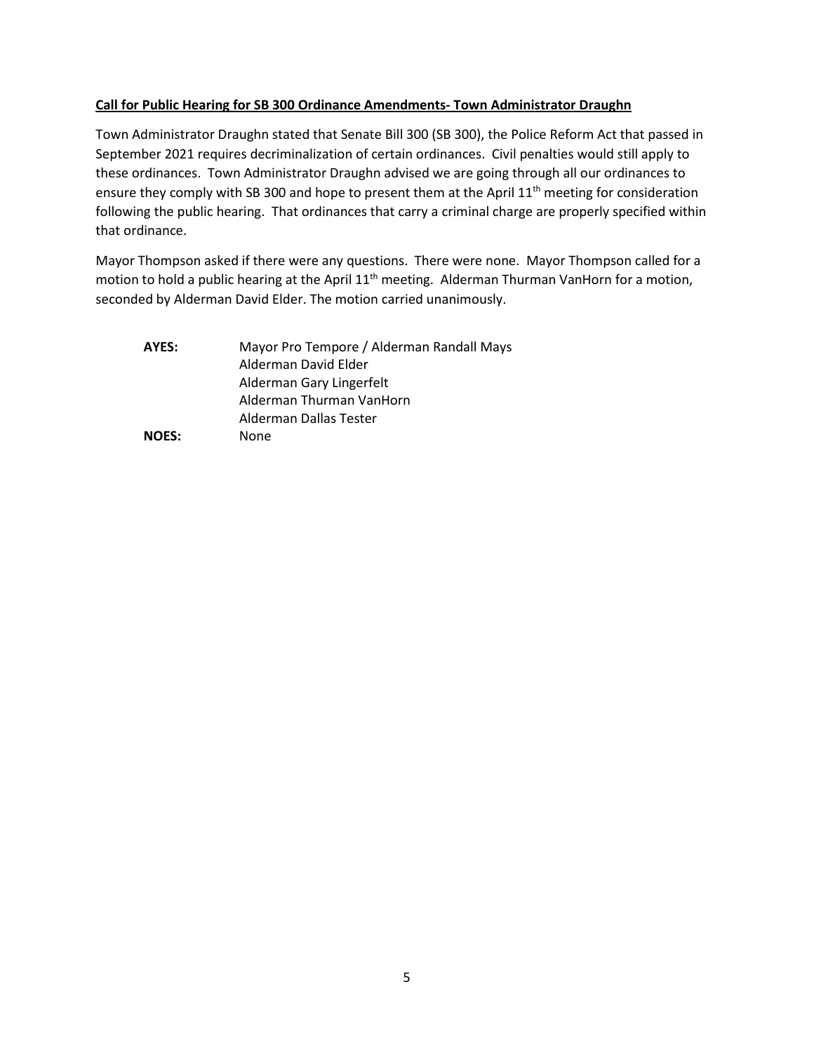# **Call for Public Hearing for SB 300 Ordinance Amendments- Town Administrator Draughn**

Town Administrator Draughn stated that Senate Bill 300 (SB 300), the Police Reform Act that passed in September 2021 requires decriminalization of certain ordinances. Civil penalties would still apply to these ordinances. Town Administrator Draughn advised we are going through all our ordinances to ensure they comply with SB 300 and hope to present them at the April 11<sup>th</sup> meeting for consideration following the public hearing. That ordinances that carry a criminal charge are properly specified within that ordinance.

Mayor Thompson asked if there were any questions. There were none. Mayor Thompson called for a motion to hold a public hearing at the April 11<sup>th</sup> meeting. Alderman Thurman VanHorn for a motion, seconded by Alderman David Elder. The motion carried unanimously.

| AYES:        | Mayor Pro Tempore / Alderman Randall Mays |
|--------------|-------------------------------------------|
|              | Alderman David Elder                      |
|              | Alderman Gary Lingerfelt                  |
|              | Alderman Thurman VanHorn                  |
|              | Alderman Dallas Tester                    |
| <b>NOES:</b> | None                                      |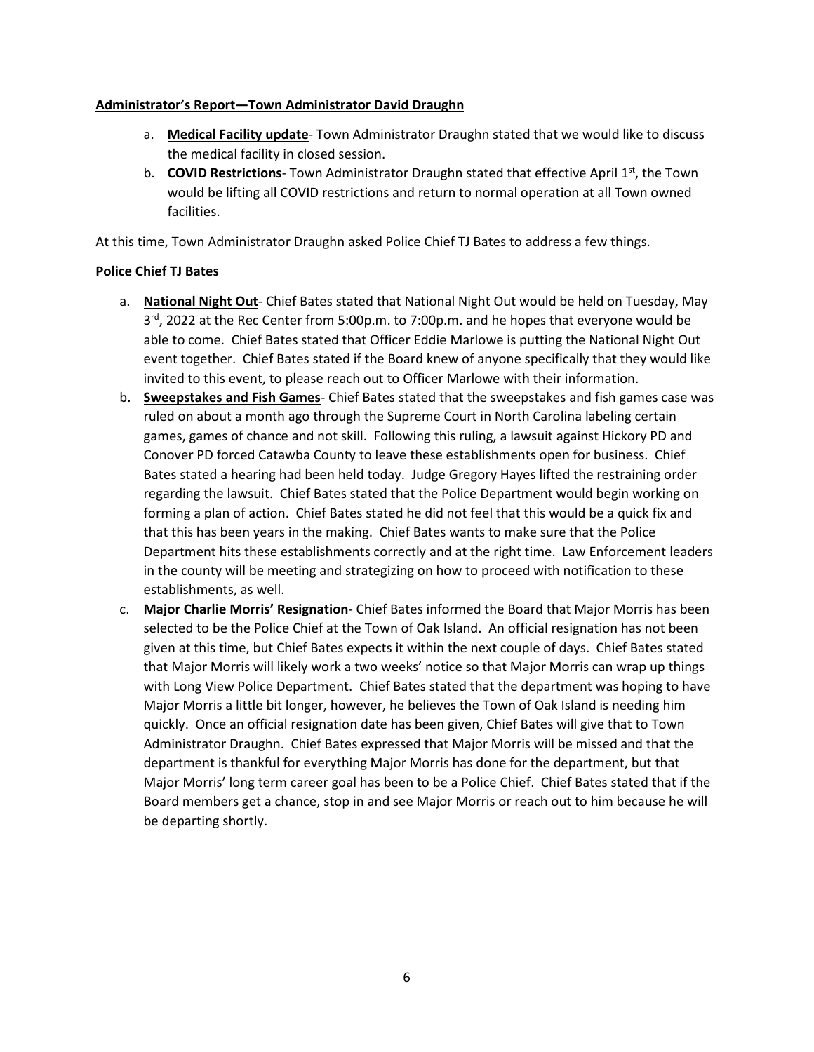# **Administrator's Report—Town Administrator David Draughn**

- a. **Medical Facility update** Town Administrator Draughn stated that we would like to discuss the medical facility in closed session.
- b. **COVID Restrictions** Town Administrator Draughn stated that effective April 1<sup>st</sup>, the Town would be lifting all COVID restrictions and return to normal operation at all Town owned facilities.

At this time, Town Administrator Draughn asked Police Chief TJ Bates to address a few things.

# **Police Chief TJ Bates**

- a. **National Night Out** Chief Bates stated that National Night Out would be held on Tuesday, May  $3<sup>rd</sup>$ , 2022 at the Rec Center from 5:00p.m. to 7:00p.m. and he hopes that everyone would be able to come. Chief Bates stated that Officer Eddie Marlowe is putting the National Night Out event together. Chief Bates stated if the Board knew of anyone specifically that they would like invited to this event, to please reach out to Officer Marlowe with their information.
- b. **Sweepstakes and Fish Games** Chief Bates stated that the sweepstakes and fish games case was ruled on about a month ago through the Supreme Court in North Carolina labeling certain games, games of chance and not skill. Following this ruling, a lawsuit against Hickory PD and Conover PD forced Catawba County to leave these establishments open for business. Chief Bates stated a hearing had been held today. Judge Gregory Hayes lifted the restraining order regarding the lawsuit. Chief Bates stated that the Police Department would begin working on forming a plan of action. Chief Bates stated he did not feel that this would be a quick fix and that this has been years in the making. Chief Bates wants to make sure that the Police Department hits these establishments correctly and at the right time. Law Enforcement leaders in the county will be meeting and strategizing on how to proceed with notification to these establishments, as well.
- c. **Major Charlie Morris' Resignation** Chief Bates informed the Board that Major Morris has been selected to be the Police Chief at the Town of Oak Island. An official resignation has not been given at this time, but Chief Bates expects it within the next couple of days. Chief Bates stated that Major Morris will likely work a two weeks' notice so that Major Morris can wrap up things with Long View Police Department. Chief Bates stated that the department was hoping to have Major Morris a little bit longer, however, he believes the Town of Oak Island is needing him quickly. Once an official resignation date has been given, Chief Bates will give that to Town Administrator Draughn. Chief Bates expressed that Major Morris will be missed and that the department is thankful for everything Major Morris has done for the department, but that Major Morris' long term career goal has been to be a Police Chief. Chief Bates stated that if the Board members get a chance, stop in and see Major Morris or reach out to him because he will be departing shortly.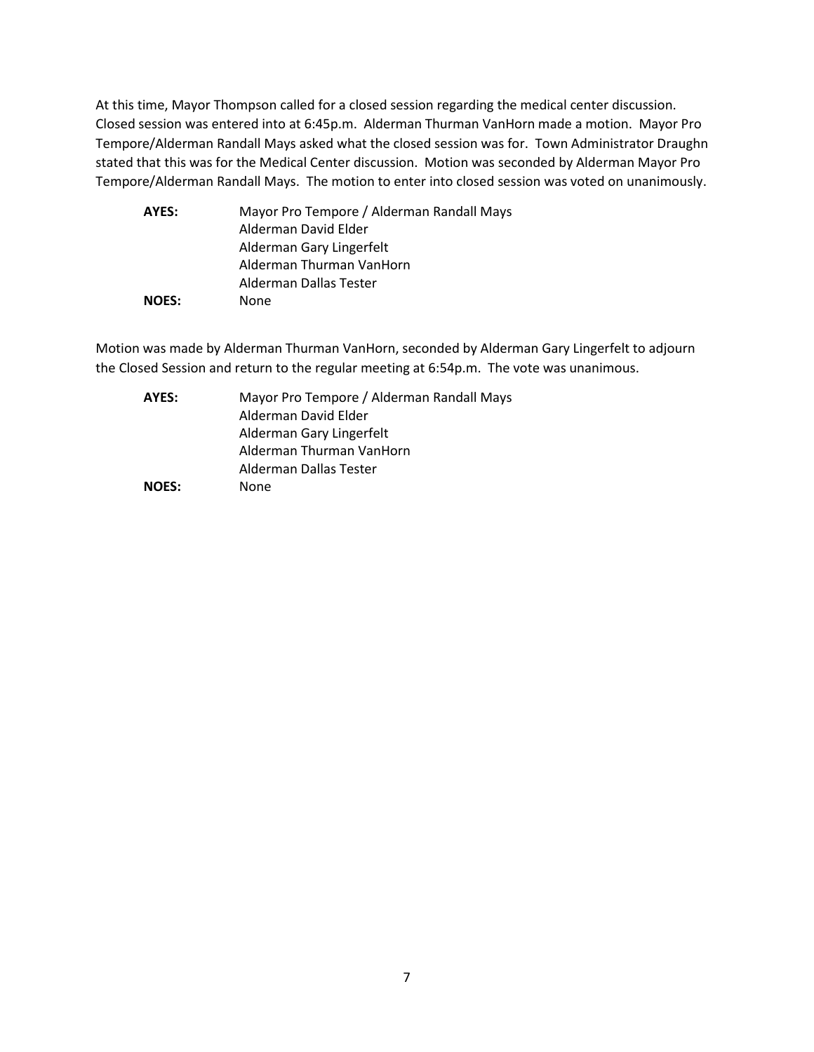At this time, Mayor Thompson called for a closed session regarding the medical center discussion. Closed session was entered into at 6:45p.m. Alderman Thurman VanHorn made a motion. Mayor Pro Tempore/Alderman Randall Mays asked what the closed session was for. Town Administrator Draughn stated that this was for the Medical Center discussion. Motion was seconded by Alderman Mayor Pro Tempore/Alderman Randall Mays. The motion to enter into closed session was voted on unanimously.

| AYES:        | Mayor Pro Tempore / Alderman Randall Mays |
|--------------|-------------------------------------------|
|              | Alderman David Elder                      |
|              | Alderman Gary Lingerfelt                  |
|              | Alderman Thurman VanHorn                  |
|              | Alderman Dallas Tester                    |
| <b>NOES:</b> | None                                      |

Motion was made by Alderman Thurman VanHorn, seconded by Alderman Gary Lingerfelt to adjourn the Closed Session and return to the regular meeting at 6:54p.m. The vote was unanimous.

| AYES:        | Mayor Pro Tempore / Alderman Randall Mays |
|--------------|-------------------------------------------|
|              | Alderman David Elder                      |
|              | Alderman Gary Lingerfelt                  |
|              | Alderman Thurman VanHorn                  |
|              | Alderman Dallas Tester                    |
| <b>NOES:</b> | None                                      |